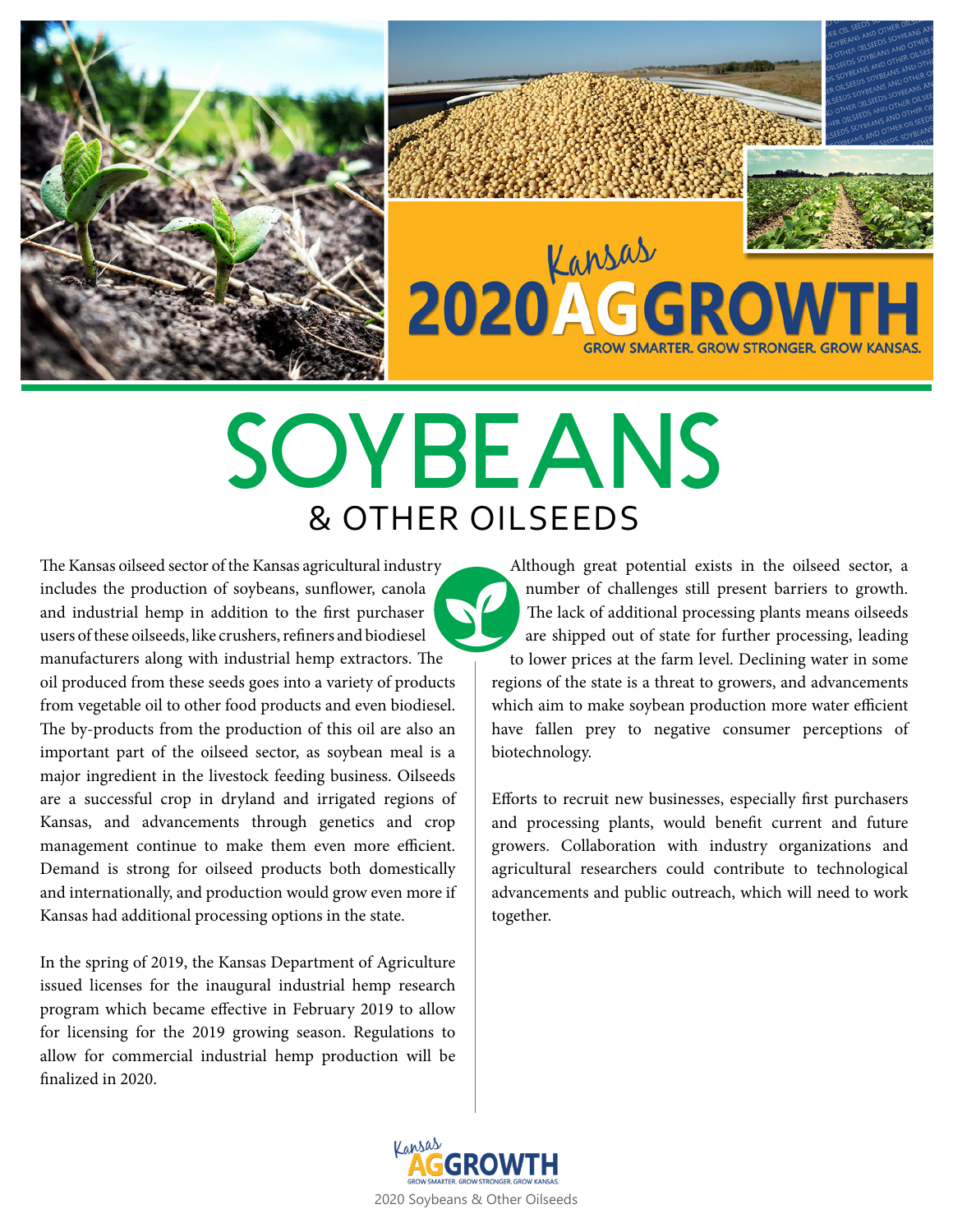



# **SOYBEANS** & OTHER OILSEEDS

The Kansas oilseed sector of the Kansas agricultural industry includes the production of soybeans, sunflower, canola and industrial hemp in addition to the first purchaser users of these oilseeds, like crushers, refiners and biodiesel manufacturers along with industrial hemp extractors. The oil produced from these seeds goes into a variety of products from vegetable oil to other food products and even biodiesel. The by-products from the production of this oil are also an important part of the oilseed sector, as soybean meal is a major ingredient in the livestock feeding business. Oilseeds are a successful crop in dryland and irrigated regions of Kansas, and advancements through genetics and crop management continue to make them even more efficient. Demand is strong for oilseed products both domestically and internationally, and production would grow even more if Kansas had additional processing options in the state.

In the spring of 2019, the Kansas Department of Agriculture issued licenses for the inaugural industrial hemp research program which became effective in February 2019 to allow for licensing for the 2019 growing season. Regulations to allow for commercial industrial hemp production will be finalized in 2020.

Although great potential exists in the oilseed sector, a number of challenges still present barriers to growth. The lack of additional processing plants means oilseeds are shipped out of state for further processing, leading to lower prices at the farm level. Declining water in some regions of the state is a threat to growers, and advancements which aim to make soybean production more water efficient have fallen prey to negative consumer perceptions of biotechnology.

Efforts to recruit new businesses, especially first purchasers and processing plants, would benefit current and future growers. Collaboration with industry organizations and agricultural researchers could contribute to technological advancements and public outreach, which will need to work together.

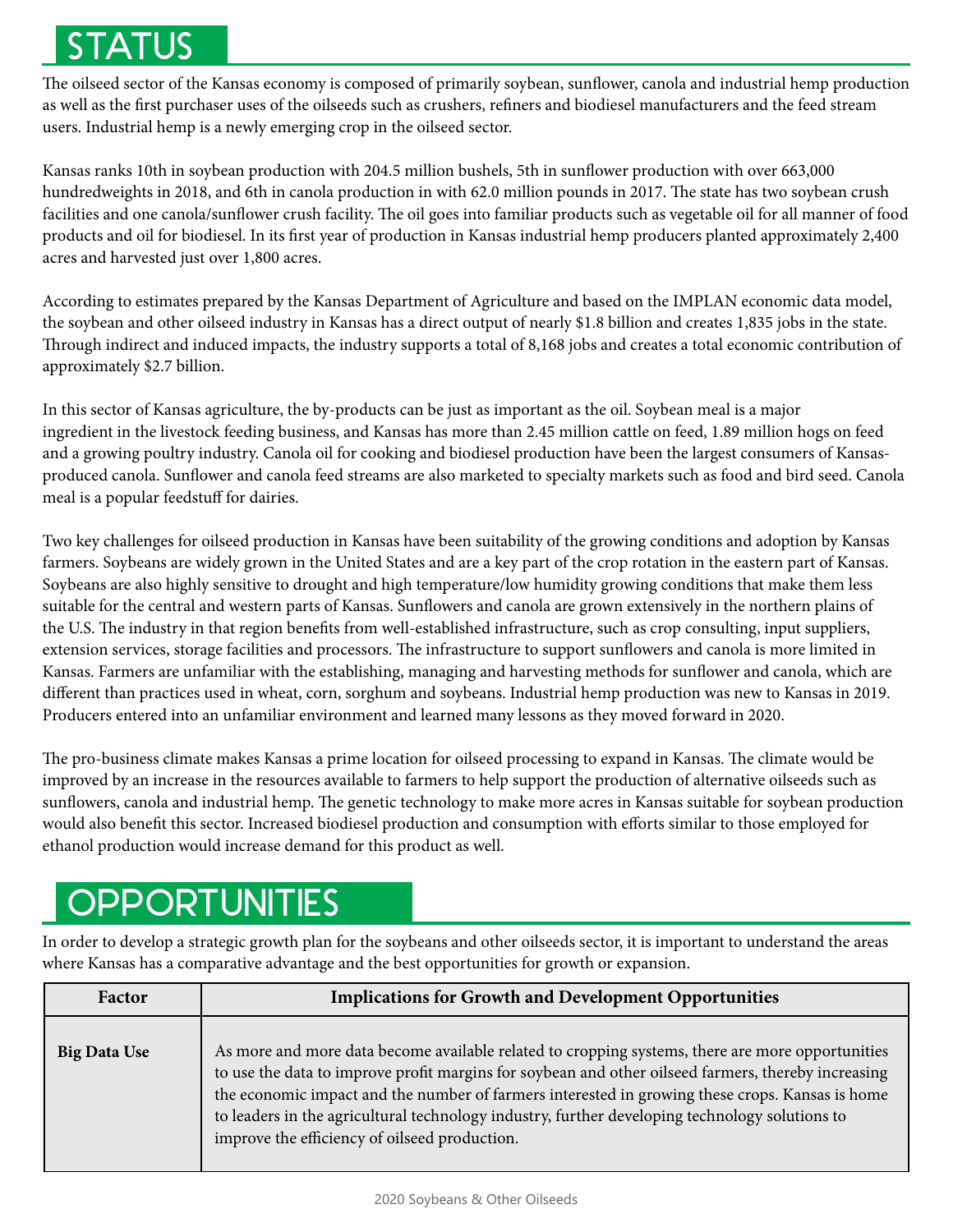# STATUS

The oilseed sector of the Kansas economy is composed of primarily soybean, sunflower, canola and industrial hemp production as well as the first purchaser uses of the oilseeds such as crushers, refiners and biodiesel manufacturers and the feed stream users. Industrial hemp is a newly emerging crop in the oilseed sector.

Kansas ranks 10th in soybean production with 204.5 million bushels, 5th in sunflower production with over 663,000 hundredweights in 2018, and 6th in canola production in with 62.0 million pounds in 2017. The state has two soybean crush facilities and one canola/sunflower crush facility. The oil goes into familiar products such as vegetable oil for all manner of food products and oil for biodiesel. In its first year of production in Kansas industrial hemp producers planted approximately 2,400 acres and harvested just over 1,800 acres.

According to estimates prepared by the Kansas Department of Agriculture and based on the IMPLAN economic data model, the soybean and other oilseed industry in Kansas has a direct output of nearly \$1.8 billion and creates 1,835 jobs in the state. Through indirect and induced impacts, the industry supports a total of 8,168 jobs and creates a total economic contribution of approximately \$2.7 billion.

In this sector of Kansas agriculture, the by-products can be just as important as the oil. Soybean meal is a major ingredient in the livestock feeding business, and Kansas has more than 2.45 million cattle on feed, 1.89 million hogs on feed and a growing poultry industry. Canola oil for cooking and biodiesel production have been the largest consumers of Kansasproduced canola. Sunflower and canola feed streams are also marketed to specialty markets such as food and bird seed. Canola meal is a popular feedstuff for dairies.

Two key challenges for oilseed production in Kansas have been suitability of the growing conditions and adoption by Kansas farmers. Soybeans are widely grown in the United States and are a key part of the crop rotation in the eastern part of Kansas. Soybeans are also highly sensitive to drought and high temperature/low humidity growing conditions that make them less suitable for the central and western parts of Kansas. Sunflowers and canola are grown extensively in the northern plains of the U.S. The industry in that region benefits from well-established infrastructure, such as crop consulting, input suppliers, extension services, storage facilities and processors. The infrastructure to support sunflowers and canola is more limited in Kansas. Farmers are unfamiliar with the establishing, managing and harvesting methods for sunflower and canola, which are different than practices used in wheat, corn, sorghum and soybeans. Industrial hemp production was new to Kansas in 2019. Producers entered into an unfamiliar environment and learned many lessons as they moved forward in 2020.

The pro-business climate makes Kansas a prime location for oilseed processing to expand in Kansas. The climate would be improved by an increase in the resources available to farmers to help support the production of alternative oilseeds such as sunflowers, canola and industrial hemp. The genetic technology to make more acres in Kansas suitable for soybean production would also benefit this sector. Increased biodiesel production and consumption with efforts similar to those employed for ethanol production would increase demand for this product as well.

### **OPPORTUNITIES**

In order to develop a strategic growth plan for the soybeans and other oilseeds sector, it is important to understand the areas where Kansas has a comparative advantage and the best opportunities for growth or expansion.

| Factor              | <b>Implications for Growth and Development Opportunities</b>                                                                                                                                                                                                                                                                                                                                                                                                  |
|---------------------|---------------------------------------------------------------------------------------------------------------------------------------------------------------------------------------------------------------------------------------------------------------------------------------------------------------------------------------------------------------------------------------------------------------------------------------------------------------|
| <b>Big Data Use</b> | As more and more data become available related to cropping systems, there are more opportunities<br>to use the data to improve profit margins for soybean and other oilseed farmers, thereby increasing<br>the economic impact and the number of farmers interested in growing these crops. Kansas is home<br>to leaders in the agricultural technology industry, further developing technology solutions to<br>improve the efficiency of oilseed production. |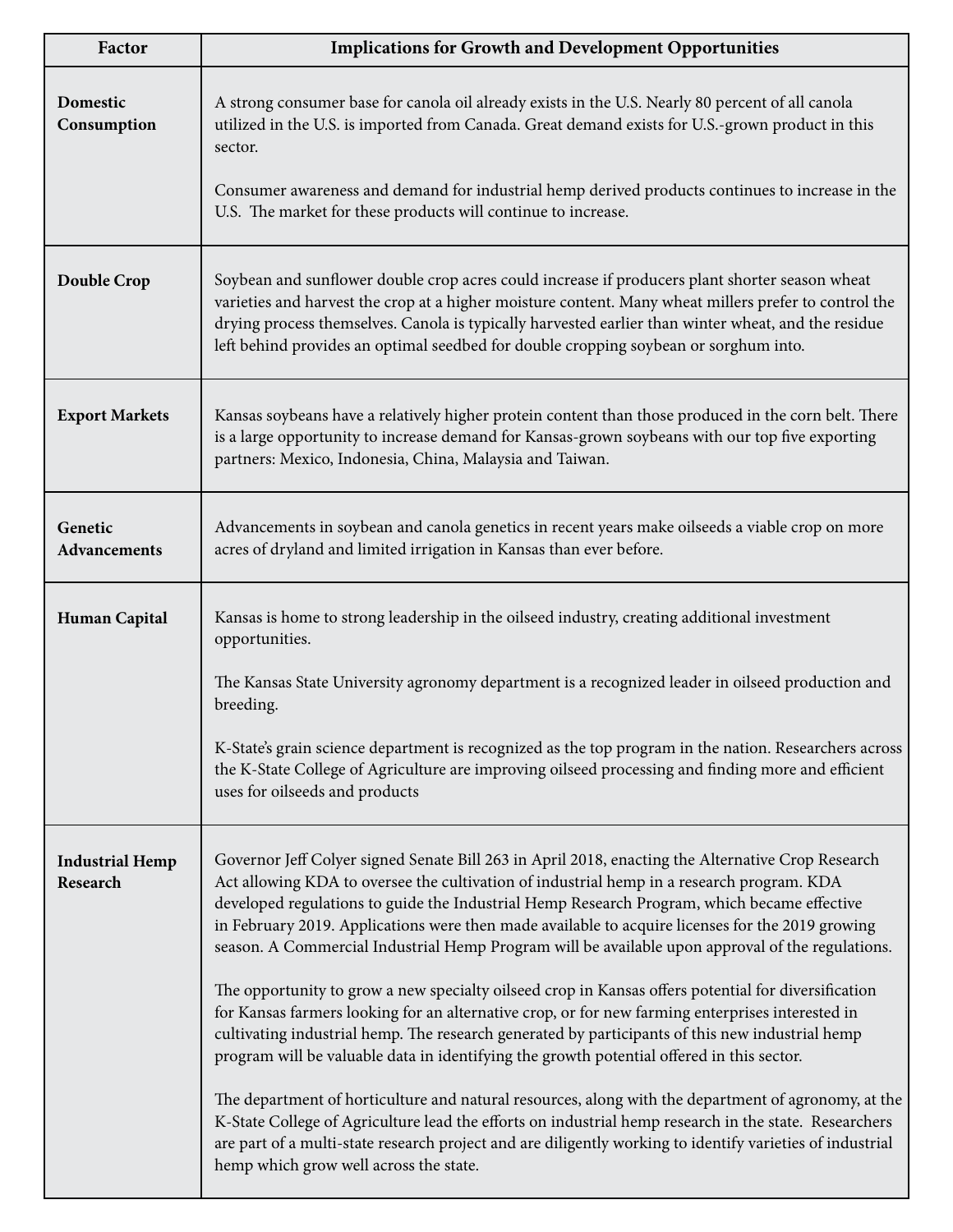| Factor                             | <b>Implications for Growth and Development Opportunities</b>                                                                                                                                                                                                                                                                                                                                                                                                                                          |
|------------------------------------|-------------------------------------------------------------------------------------------------------------------------------------------------------------------------------------------------------------------------------------------------------------------------------------------------------------------------------------------------------------------------------------------------------------------------------------------------------------------------------------------------------|
| Domestic<br>Consumption            | A strong consumer base for canola oil already exists in the U.S. Nearly 80 percent of all canola<br>utilized in the U.S. is imported from Canada. Great demand exists for U.S.-grown product in this<br>sector.                                                                                                                                                                                                                                                                                       |
|                                    | Consumer awareness and demand for industrial hemp derived products continues to increase in the<br>U.S. The market for these products will continue to increase.                                                                                                                                                                                                                                                                                                                                      |
| Double Crop                        | Soybean and sunflower double crop acres could increase if producers plant shorter season wheat<br>varieties and harvest the crop at a higher moisture content. Many wheat millers prefer to control the<br>drying process themselves. Canola is typically harvested earlier than winter wheat, and the residue<br>left behind provides an optimal seedbed for double cropping soybean or sorghum into.                                                                                                |
| <b>Export Markets</b>              | Kansas soybeans have a relatively higher protein content than those produced in the corn belt. There<br>is a large opportunity to increase demand for Kansas-grown soybeans with our top five exporting<br>partners: Mexico, Indonesia, China, Malaysia and Taiwan.                                                                                                                                                                                                                                   |
| Genetic<br>Advancements            | Advancements in soybean and canola genetics in recent years make oilseeds a viable crop on more<br>acres of dryland and limited irrigation in Kansas than ever before.                                                                                                                                                                                                                                                                                                                                |
| <b>Human Capital</b>               | Kansas is home to strong leadership in the oilseed industry, creating additional investment<br>opportunities.                                                                                                                                                                                                                                                                                                                                                                                         |
|                                    | The Kansas State University agronomy department is a recognized leader in oilseed production and<br>breeding.                                                                                                                                                                                                                                                                                                                                                                                         |
|                                    | K-State's grain science department is recognized as the top program in the nation. Researchers across<br>the K-State College of Agriculture are improving oilseed processing and finding more and efficient<br>uses for oilseeds and products                                                                                                                                                                                                                                                         |
| <b>Industrial Hemp</b><br>Research | Governor Jeff Colyer signed Senate Bill 263 in April 2018, enacting the Alternative Crop Research<br>Act allowing KDA to oversee the cultivation of industrial hemp in a research program. KDA<br>developed regulations to guide the Industrial Hemp Research Program, which became effective<br>in February 2019. Applications were then made available to acquire licenses for the 2019 growing<br>season. A Commercial Industrial Hemp Program will be available upon approval of the regulations. |
|                                    | The opportunity to grow a new specialty oilseed crop in Kansas offers potential for diversification<br>for Kansas farmers looking for an alternative crop, or for new farming enterprises interested in<br>cultivating industrial hemp. The research generated by participants of this new industrial hemp<br>program will be valuable data in identifying the growth potential offered in this sector.                                                                                               |
|                                    | The department of horticulture and natural resources, along with the department of agronomy, at the<br>K-State College of Agriculture lead the efforts on industrial hemp research in the state. Researchers<br>are part of a multi-state research project and are diligently working to identify varieties of industrial<br>hemp which grow well across the state.                                                                                                                                   |

٠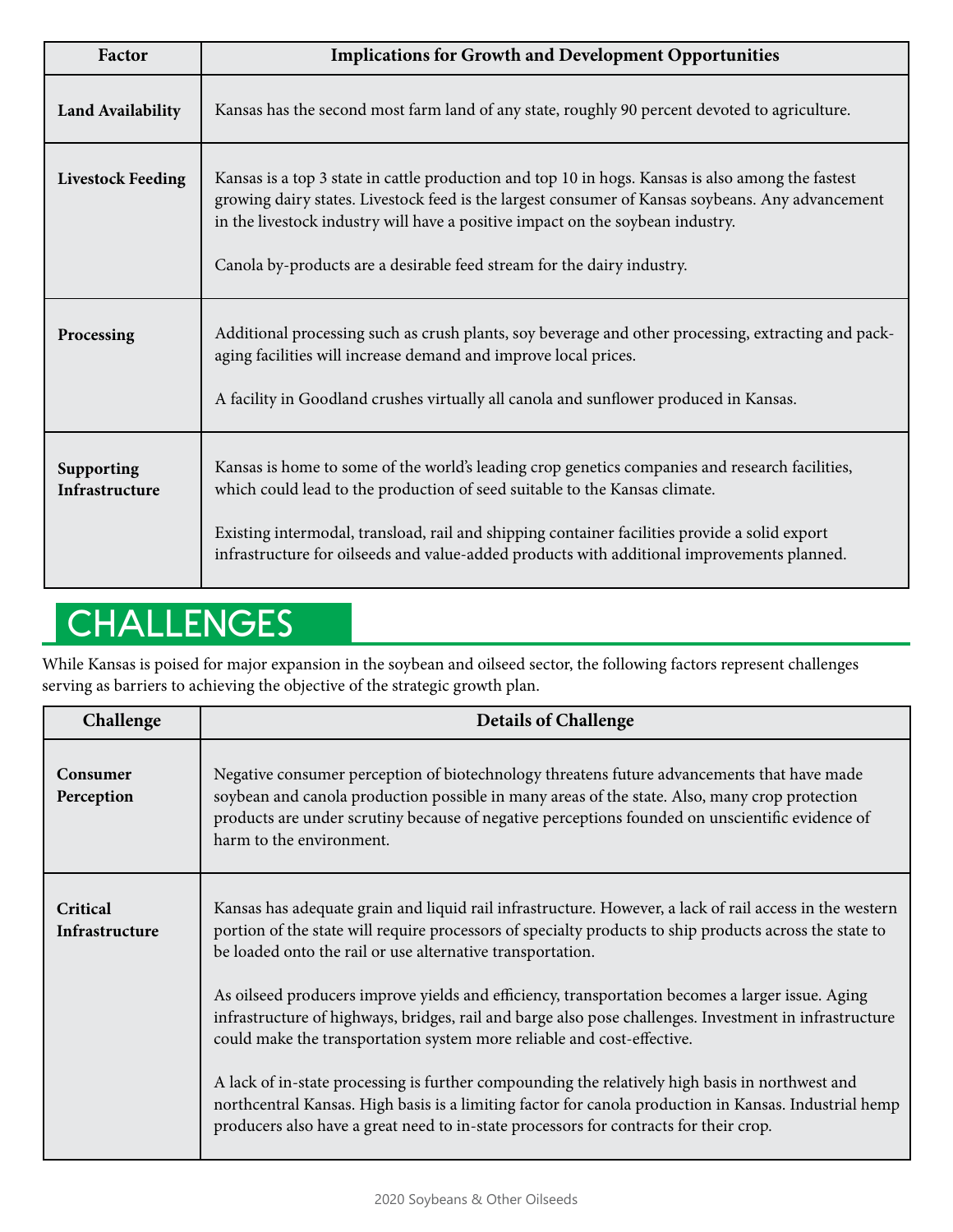| Factor                       | <b>Implications for Growth and Development Opportunities</b>                                                                                                                                                                                                                                                                                                                |
|------------------------------|-----------------------------------------------------------------------------------------------------------------------------------------------------------------------------------------------------------------------------------------------------------------------------------------------------------------------------------------------------------------------------|
| <b>Land Availability</b>     | Kansas has the second most farm land of any state, roughly 90 percent devoted to agriculture.                                                                                                                                                                                                                                                                               |
| <b>Livestock Feeding</b>     | Kansas is a top 3 state in cattle production and top 10 in hogs. Kansas is also among the fastest<br>growing dairy states. Livestock feed is the largest consumer of Kansas soybeans. Any advancement<br>in the livestock industry will have a positive impact on the soybean industry.<br>Canola by-products are a desirable feed stream for the dairy industry.           |
| Processing                   | Additional processing such as crush plants, soy beverage and other processing, extracting and pack-<br>aging facilities will increase demand and improve local prices.<br>A facility in Goodland crushes virtually all canola and sunflower produced in Kansas.                                                                                                             |
| Supporting<br>Infrastructure | Kansas is home to some of the world's leading crop genetics companies and research facilities,<br>which could lead to the production of seed suitable to the Kansas climate.<br>Existing intermodal, transload, rail and shipping container facilities provide a solid export<br>infrastructure for oilseeds and value-added products with additional improvements planned. |

## **CHALLENGES**

While Kansas is poised for major expansion in the soybean and oilseed sector, the following factors represent challenges serving as barriers to achieving the objective of the strategic growth plan.

| Challenge                  | <b>Details of Challenge</b>                                                                                                                                                                                                                                                                                                |
|----------------------------|----------------------------------------------------------------------------------------------------------------------------------------------------------------------------------------------------------------------------------------------------------------------------------------------------------------------------|
| Consumer<br>Perception     | Negative consumer perception of biotechnology threatens future advancements that have made<br>soybean and canola production possible in many areas of the state. Also, many crop protection<br>products are under scrutiny because of negative perceptions founded on unscientific evidence of<br>harm to the environment. |
| Critical<br>Infrastructure | Kansas has adequate grain and liquid rail infrastructure. However, a lack of rail access in the western<br>portion of the state will require processors of specialty products to ship products across the state to<br>be loaded onto the rail or use alternative transportation.                                           |
|                            | As oilseed producers improve yields and efficiency, transportation becomes a larger issue. Aging<br>infrastructure of highways, bridges, rail and barge also pose challenges. Investment in infrastructure<br>could make the transportation system more reliable and cost-effective.                                       |
|                            | A lack of in-state processing is further compounding the relatively high basis in northwest and<br>northcentral Kansas. High basis is a limiting factor for canola production in Kansas. Industrial hemp<br>producers also have a great need to in-state processors for contracts for their crop.                          |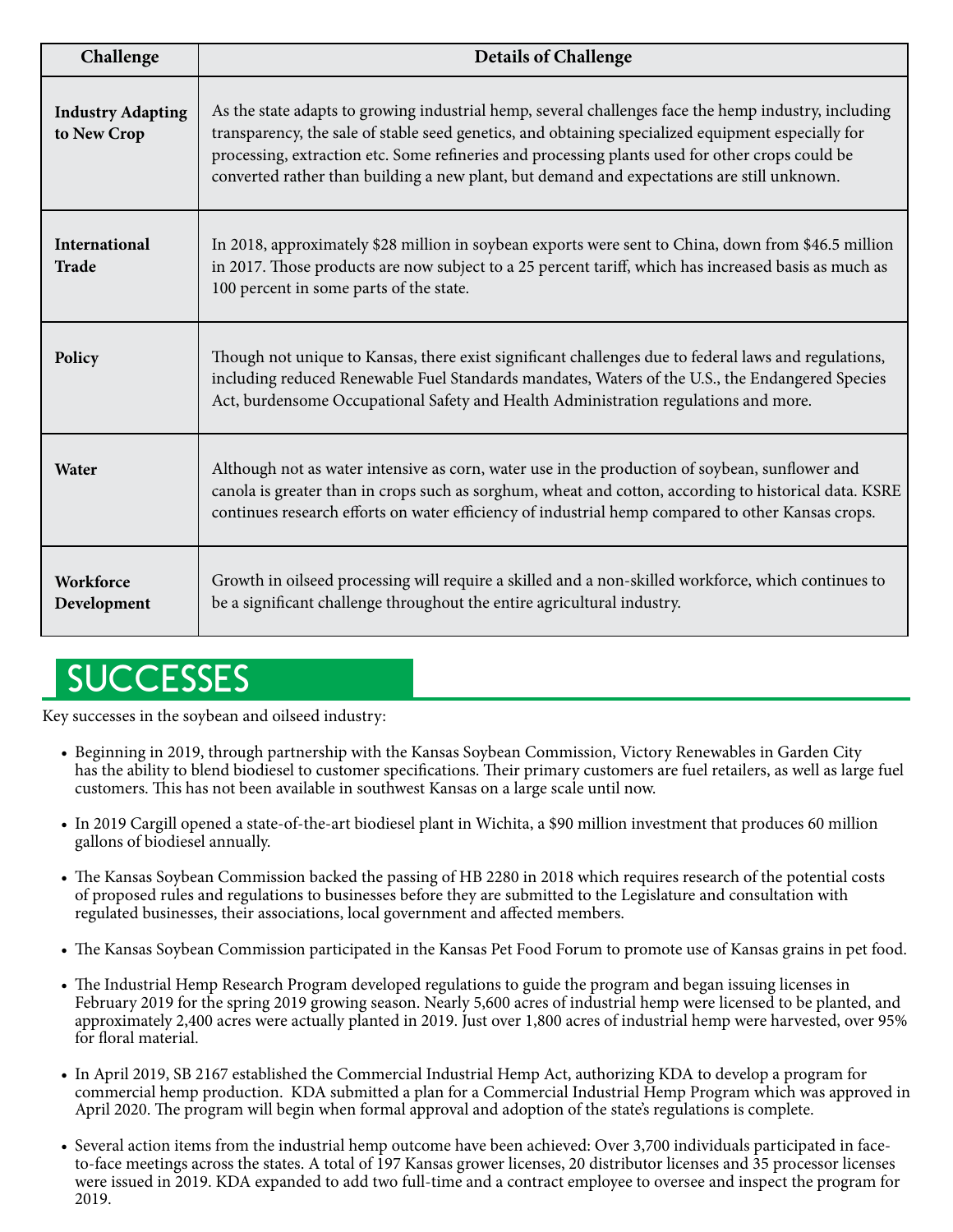| Challenge                               | <b>Details of Challenge</b>                                                                                                                                                                                                                                                                                                                                                                                 |
|-----------------------------------------|-------------------------------------------------------------------------------------------------------------------------------------------------------------------------------------------------------------------------------------------------------------------------------------------------------------------------------------------------------------------------------------------------------------|
| <b>Industry Adapting</b><br>to New Crop | As the state adapts to growing industrial hemp, several challenges face the hemp industry, including<br>transparency, the sale of stable seed genetics, and obtaining specialized equipment especially for<br>processing, extraction etc. Some refineries and processing plants used for other crops could be<br>converted rather than building a new plant, but demand and expectations are still unknown. |
| International<br><b>Trade</b>           | In 2018, approximately \$28 million in soybean exports were sent to China, down from \$46.5 million<br>in 2017. Those products are now subject to a 25 percent tariff, which has increased basis as much as<br>100 percent in some parts of the state.                                                                                                                                                      |
| Policy                                  | Though not unique to Kansas, there exist significant challenges due to federal laws and regulations,<br>including reduced Renewable Fuel Standards mandates, Waters of the U.S., the Endangered Species<br>Act, burdensome Occupational Safety and Health Administration regulations and more.                                                                                                              |
| Water                                   | Although not as water intensive as corn, water use in the production of soybean, sunflower and<br>canola is greater than in crops such as sorghum, wheat and cotton, according to historical data. KSRE<br>continues research efforts on water efficiency of industrial hemp compared to other Kansas crops.                                                                                                |
| Workforce<br>Development                | Growth in oilseed processing will require a skilled and a non-skilled workforce, which continues to<br>be a significant challenge throughout the entire agricultural industry.                                                                                                                                                                                                                              |

### **SUCCESSES**

Key successes in the soybean and oilseed industry:

- Beginning in 2019, through partnership with the Kansas Soybean Commission, Victory Renewables in Garden City has the ability to blend biodiesel to customer specifications. Their primary customers are fuel retailers, as well as large fuel customers. This has not been available in southwest Kansas on a large scale until now.
- In 2019 Cargill opened a state-of-the-art biodiesel plant in Wichita, a \$90 million investment that produces 60 million gallons of biodiesel annually.
- The Kansas Soybean Commission backed the passing of HB 2280 in 2018 which requires research of the potential costs of proposed rules and regulations to businesses before they are submitted to the Legislature and consultation with regulated businesses, their associations, local government and affected members.
- The Kansas Soybean Commission participated in the Kansas Pet Food Forum to promote use of Kansas grains in pet food.
- The Industrial Hemp Research Program developed regulations to guide the program and began issuing licenses in February 2019 for the spring 2019 growing season. Nearly 5,600 acres of industrial hemp were licensed to be planted, and approximately 2,400 acres were actually planted in 2019. Just over 1,800 acres of industrial hemp were harvested, over 95% for floral material.
- In April 2019, SB 2167 established the Commercial Industrial Hemp Act, authorizing KDA to develop a program for commercial hemp production. KDA submitted a plan for a Commercial Industrial Hemp Program which was approved in April 2020. The program will begin when formal approval and adoption of the state's regulations is complete.
- Several action items from the industrial hemp outcome have been achieved: Over 3,700 individuals participated in face to-face meetings across the states. A total of 197 Kansas grower licenses, 20 distributor licenses and 35 processor licenses were issued in 2019. KDA expanded to add two full-time and a contract employee to oversee and inspect the program for 2019.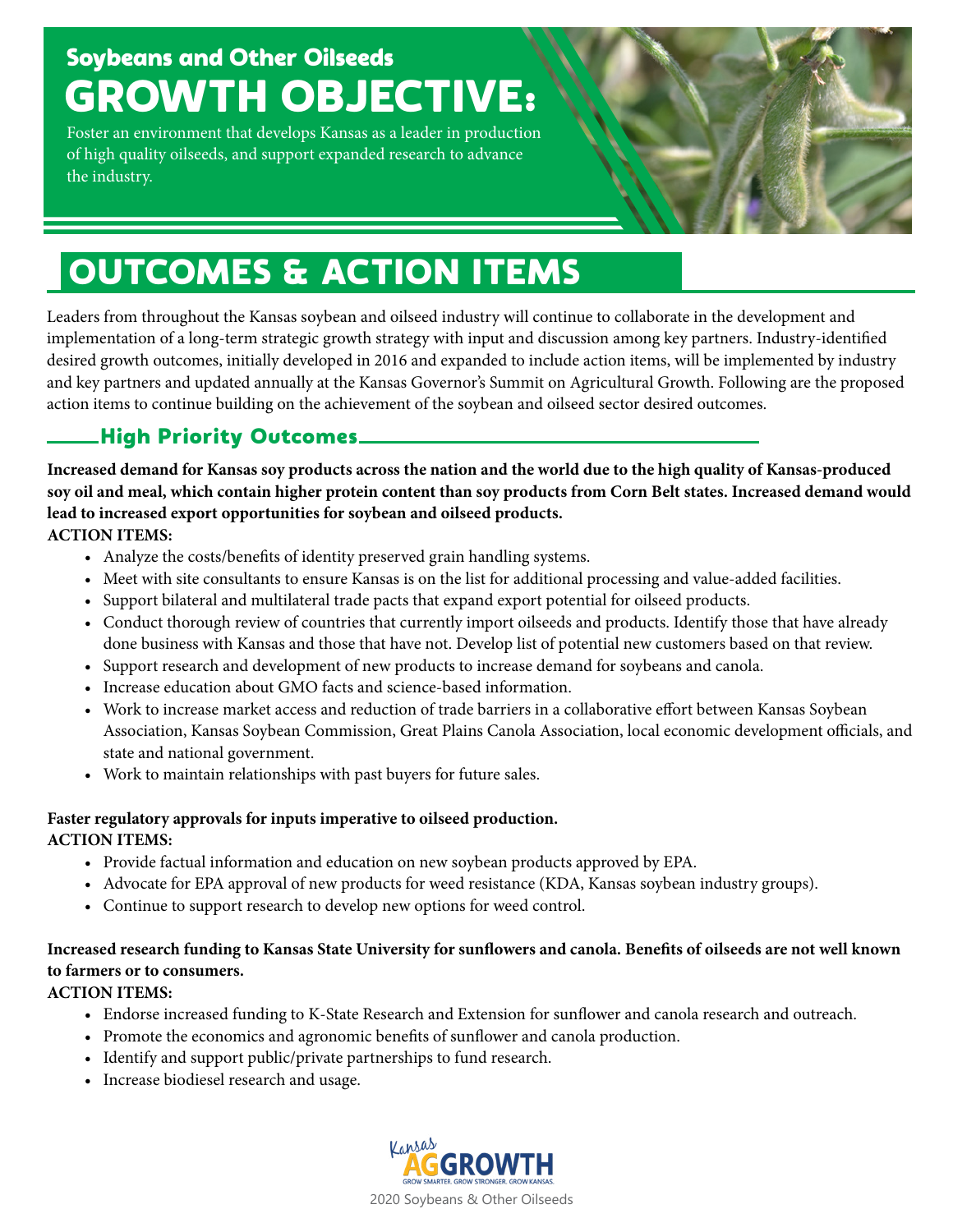### Soybeans and Other Oilseeds GROWTH OBJECTIVE:

Foster an environment that develops Kansas as a leader in production of high quality oilseeds, and support expanded research to advance the industry.



# OUTCOMES & ACTION ITEMS

Leaders from throughout the Kansas soybean and oilseed industry will continue to collaborate in the development and implementation of a long-term strategic growth strategy with input and discussion among key partners. Industry-identified desired growth outcomes, initially developed in 2016 and expanded to include action items, will be implemented by industry and key partners and updated annually at the Kansas Governor's Summit on Agricultural Growth. Following are the proposed action items to continue building on the achievement of the soybean and oilseed sector desired outcomes.

#### High Priority Outcomes

**Increased demand for Kansas soy products across the nation and the world due to the high quality of Kansas-produced soy oil and meal, which contain higher protein content than soy products from Corn Belt states. Increased demand would lead to increased export opportunities for soybean and oilseed products.**

#### **ACTION ITEMS:**

- Analyze the costs/benefits of identity preserved grain handling systems.
- Meet with site consultants to ensure Kansas is on the list for additional processing and value-added facilities.
- Support bilateral and multilateral trade pacts that expand export potential for oilseed products.
- Conduct thorough review of countries that currently import oilseeds and products. Identify those that have already done business with Kansas and those that have not. Develop list of potential new customers based on that review.
- Support research and development of new products to increase demand for soybeans and canola.
- Increase education about GMO facts and science-based information.
- Work to increase market access and reduction of trade barriers in a collaborative effort between Kansas Soybean Association, Kansas Soybean Commission, Great Plains Canola Association, local economic development officials, and state and national government.
- Work to maintain relationships with past buyers for future sales.

#### **Faster regulatory approvals for inputs imperative to oilseed production. ACTION ITEMS:**

- Provide factual information and education on new soybean products approved by EPA.
- Advocate for EPA approval of new products for weed resistance (KDA, Kansas soybean industry groups).
- Continue to support research to develop new options for weed control.

#### **Increased research funding to Kansas State University for sunflowers and canola. Benefits of oilseeds are not well known to farmers or to consumers.**

#### **ACTION ITEMS:**

- Endorse increased funding to K-State Research and Extension for sunflower and canola research and outreach.
- Promote the economics and agronomic benefits of sunflower and canola production.
- Identify and support public/private partnerships to fund research.
- Increase biodiesel research and usage.

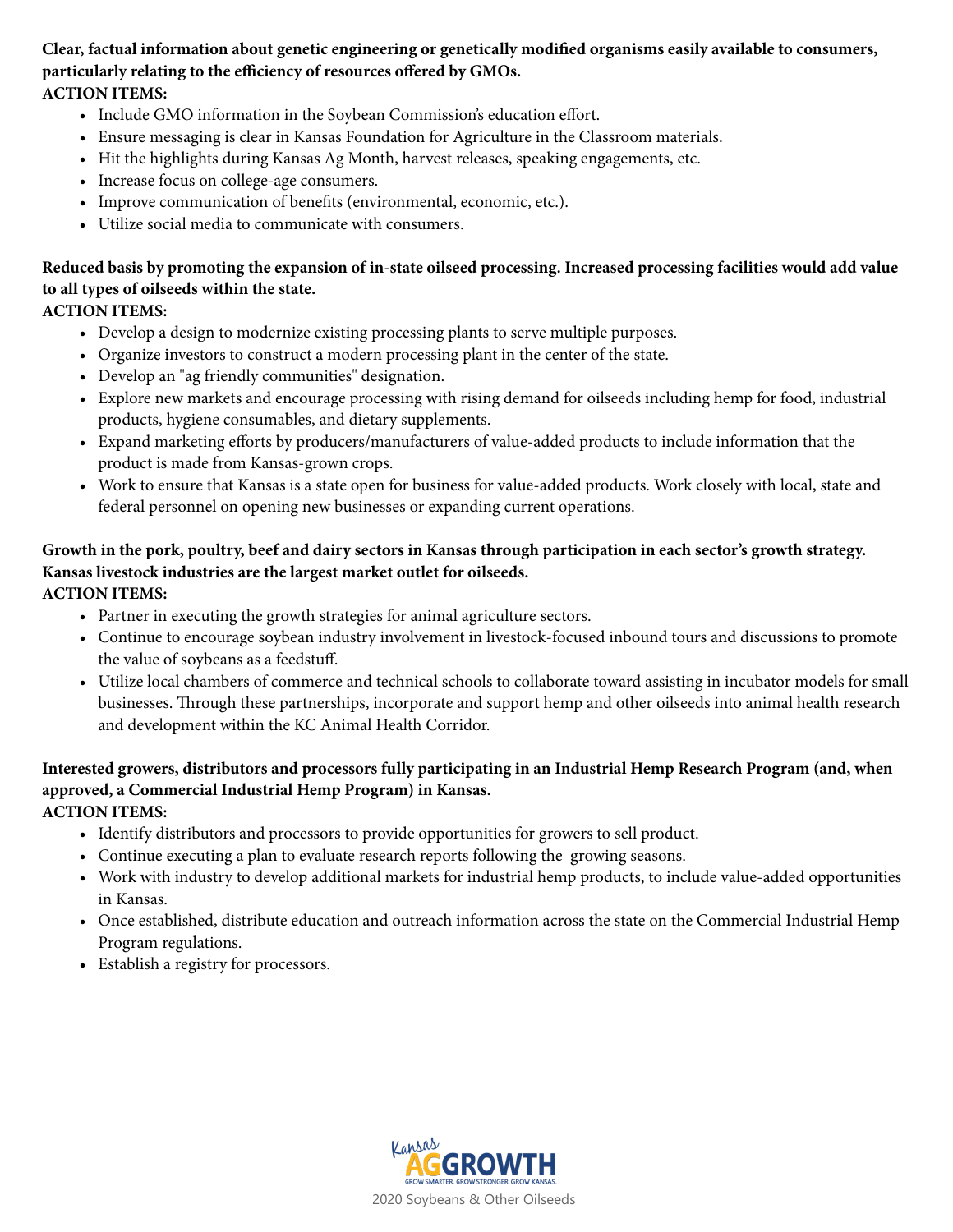#### **Clear, factual information about genetic engineering or genetically modified organisms easily available to consumers, particularly relating to the efficiency of resources offered by GMOs. ACTION ITEMS:**

- Include GMO information in the Soybean Commission's education effort.
- Ensure messaging is clear in Kansas Foundation for Agriculture in the Classroom materials.
- Hit the highlights during Kansas Ag Month, harvest releases, speaking engagements, etc.
- Increase focus on college-age consumers.
- Improve communication of benefits (environmental, economic, etc.).
- Utilize social media to communicate with consumers.

#### **Reduced basis by promoting the expansion of in-state oilseed processing. Increased processing facilities would add value to all types of oilseeds within the state.**

#### **ACTION ITEMS:**

- Develop a design to modernize existing processing plants to serve multiple purposes.
- Organize investors to construct a modern processing plant in the center of the state.
- Develop an "ag friendly communities" designation.
- Explore new markets and encourage processing with rising demand for oilseeds including hemp for food, industrial products, hygiene consumables, and dietary supplements.
- Expand marketing efforts by producers/manufacturers of value-added products to include information that the product is made from Kansas-grown crops.
- Work to ensure that Kansas is a state open for business for value-added products. Work closely with local, state and federal personnel on opening new businesses or expanding current operations.

#### **Growth in the pork, poultry, beef and dairy sectors in Kansas through participation in each sector's growth strategy. Kansas livestock industries are the largest market outlet for oilseeds.**

#### **ACTION ITEMS:**

- Partner in executing the growth strategies for animal agriculture sectors.
- Continue to encourage soybean industry involvement in livestock-focused inbound tours and discussions to promote the value of soybeans as a feedstuff.
- Utilize local chambers of commerce and technical schools to collaborate toward assisting in incubator models for small businesses. Through these partnerships, incorporate and support hemp and other oilseeds into animal health research and development within the KC Animal Health Corridor.

#### **Interested growers, distributors and processors fully participating in an Industrial Hemp Research Program (and, when approved, a Commercial Industrial Hemp Program) in Kansas. ACTION ITEMS:**

- Identify distributors and processors to provide opportunities for growers to sell product.
- Continue executing a plan to evaluate research reports following the growing seasons.
- Work with industry to develop additional markets for industrial hemp products, to include value-added opportunities in Kansas.
- Once established, distribute education and outreach information across the state on the Commercial Industrial Hemp Program regulations.
- Establish a registry for processors.